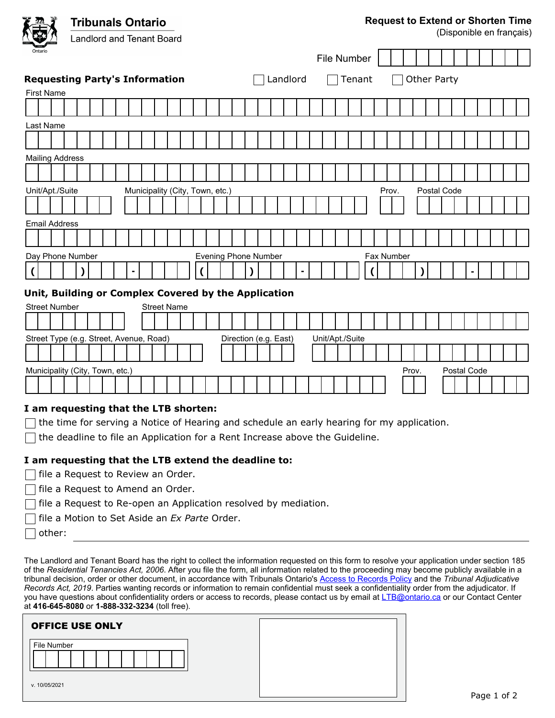**Tribunals Ontario Request to Extend or Shorten Time**  (Disponible en français) **Landlord and Tenant Board** File Number **Requesting Party's Information Communist Constructed Tenant Construction** Changement Construction First Name Last Name Mailing Address Unit/Apt./Suite Municipality (City, Town, etc.) entries a prov. Postal Code

Evening Phone Number

**( ) -**

Municipality (City, Town, etc.) Prov. Postal Code

 $\Box$  the time for serving a Notice of Hearing and schedule an early hearing for my application.

Fax Number

**( ) -**

## **I am requesting that the LTB extend the deadline to:**

**Unit, Building or Complex Covered by the Application**

Street Type (e.g. Street, Avenue, Road) **Direction (e.g. East)** Unit/Apt./Suite

 $\Box$  the deadline to file an Application for a Rent Increase above the Guideline.

 $\exists$  file a Request to Review an Order.

**I am requesting that the LTB shorten:**

- file a Request to Amend an Order.
- file a Request to Re-open an Application resolved by mediation.
- file a Motion to Set Aside an *Ex Parte* Order.

| other |
|-------|
|-------|

Email Address

Day Phone Number

**( ) -**

Street Number Street Name

The Landlord and Tenant Board has the right to collect the information requested on this form to resolve your application under section 185 of the *Residential Tenancies Act, 2006*. After you file the form, all information related to the proceeding may become publicly available in a tribunal decision, order or other document, in accordance with Tribunals Ontario's [Access to Records Policy](https://tribunalsontario.ca/documents/sjto/A2I-Policy-en.html) and the *Tribunal Adjudicative Records Act, 2019*. Parties wanting records or information to remain confidential must seek a confidentiality order from the adjudicator. If you have questions about confidentiality orders or access to records, please contact us by email at [LTB@ontario.ca](mailto:LTB@ontario.ca) or our Contact Center at **416-645-8080** or **1-888-332-3234** (toll free).

| <b>OFFICE USE ONLY</b> |  |
|------------------------|--|
| File Number            |  |
| v. 10/05/2021          |  |